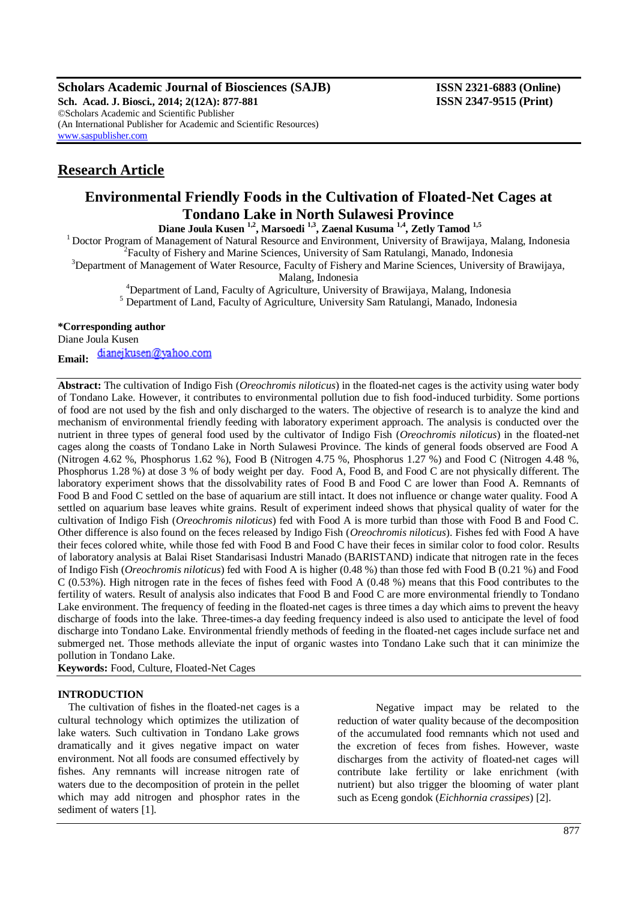**Scholars Academic Journal of Biosciences (SAJB) ISSN 2321-6883 (Online)**

**Sch. Acad. J. Biosci., 2014; 2(12A): 877-881 ISSN 2347-9515 (Print)** ©Scholars Academic and Scientific Publisher (An International Publisher for Academic and Scientific Resources) [www.saspublisher.com](http://www.saspublisher.com/)

# **Research Article**

## **Environmental Friendly Foods in the Cultivation of Floated-Net Cages at Tondano Lake in North Sulawesi Province**

**Diane Joula Kusen 1,2, Marsoedi 1,3, Zaenal Kusuma 1,4, Zetly Tamod 1,5**

<sup>1</sup> Doctor Program of Management of Natural Resource and Environment, University of Brawijaya, Malang, Indonesia <sup>2</sup>Faculty of Fishery and Marine Sciences, University of Sam Ratulangi, Manado, Indonesia

<sup>3</sup>Department of Management of Water Resource, Faculty of Fishery and Marine Sciences, University of Brawijaya, Malang, Indonesia

<sup>4</sup>Department of Land, Faculty of Agriculture, University of Brawijaya, Malang, Indonesia

<sup>5</sup> Department of Land, Faculty of Agriculture, University Sam Ratulangi, Manado, Indonesia

## **\*Corresponding author**

Diane Joula Kusen

dianejkusen@yahoo.com

**Email:**

**Abstract:** The cultivation of Indigo Fish (*Oreochromis niloticus*) in the floated-net cages is the activity using water body of Tondano Lake. However, it contributes to environmental pollution due to fish food-induced turbidity. Some portions of food are not used by the fish and only discharged to the waters. The objective of research is to analyze the kind and mechanism of environmental friendly feeding with laboratory experiment approach. The analysis is conducted over the nutrient in three types of general food used by the cultivator of Indigo Fish (*Oreochromis niloticus*) in the floated-net cages along the coasts of Tondano Lake in North Sulawesi Province. The kinds of general foods observed are Food A (Nitrogen 4.62 %, Phosphorus 1.62 %), Food B (Nitrogen 4.75 %, Phosphorus 1.27 %) and Food C (Nitrogen 4.48 %, Phosphorus 1.28 %) at dose 3 % of body weight per day. Food A, Food B, and Food C are not physically different. The laboratory experiment shows that the dissolvability rates of Food B and Food C are lower than Food A. Remnants of Food B and Food C settled on the base of aquarium are still intact. It does not influence or change water quality. Food A settled on aquarium base leaves white grains. Result of experiment indeed shows that physical quality of water for the cultivation of Indigo Fish (*Oreochromis niloticus*) fed with Food A is more turbid than those with Food B and Food C. Other difference is also found on the feces released by Indigo Fish (*Oreochromis niloticus*). Fishes fed with Food A have their feces colored white, while those fed with Food B and Food C have their feces in similar color to food color. Results of laboratory analysis at Balai Riset Standarisasi Industri Manado (BARISTAND) indicate that nitrogen rate in the feces of Indigo Fish (*Oreochromis niloticus*) fed with Food A is higher (0.48 %) than those fed with Food B (0.21 %) and Food C (0.53%). High nitrogen rate in the feces of fishes feed with Food A (0.48 %) means that this Food contributes to the fertility of waters. Result of analysis also indicates that Food B and Food C are more environmental friendly to Tondano Lake environment. The frequency of feeding in the floated-net cages is three times a day which aims to prevent the heavy discharge of foods into the lake. Three-times-a day feeding frequency indeed is also used to anticipate the level of food discharge into Tondano Lake. Environmental friendly methods of feeding in the floated-net cages include surface net and submerged net. Those methods alleviate the input of organic wastes into Tondano Lake such that it can minimize the pollution in Tondano Lake.

**Keywords:** Food, Culture, Floated-Net Cages

## **INTRODUCTION**

The cultivation of fishes in the floated-net cages is a cultural technology which optimizes the utilization of lake waters. Such cultivation in Tondano Lake grows dramatically and it gives negative impact on water environment. Not all foods are consumed effectively by fishes. Any remnants will increase nitrogen rate of waters due to the decomposition of protein in the pellet which may add nitrogen and phosphor rates in the sediment of waters [1].

Negative impact may be related to the reduction of water quality because of the decomposition of the accumulated food remnants which not used and the excretion of feces from fishes. However, waste discharges from the activity of floated-net cages will contribute lake fertility or lake enrichment (with nutrient) but also trigger the blooming of water plant such as Eceng gondok (*Eichhornia crassipes*) [2].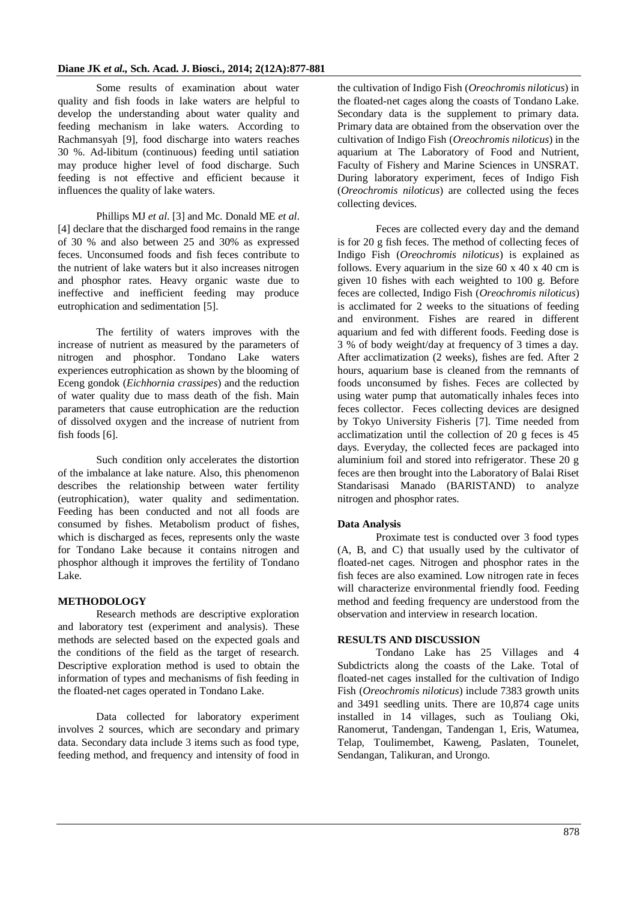Some results of examination about water quality and fish foods in lake waters are helpful to develop the understanding about water quality and feeding mechanism in lake waters. According to Rachmansyah [9], food discharge into waters reaches 30 %. Ad-libitum (continuous) feeding until satiation may produce higher level of food discharge. Such feeding is not effective and efficient because it influences the quality of lake waters.

Phillips MJ *et al*. [3] and Mc. Donald ME *et al*. [4] declare that the discharged food remains in the range of 30 % and also between 25 and 30% as expressed feces. Unconsumed foods and fish feces contribute to the nutrient of lake waters but it also increases nitrogen and phosphor rates. Heavy organic waste due to ineffective and inefficient feeding may produce eutrophication and sedimentation [5].

The fertility of waters improves with the increase of nutrient as measured by the parameters of nitrogen and phosphor. Tondano Lake waters experiences eutrophication as shown by the blooming of Eceng gondok (*Eichhornia crassipes*) and the reduction of water quality due to mass death of the fish. Main parameters that cause eutrophication are the reduction of dissolved oxygen and the increase of nutrient from fish foods [6].

Such condition only accelerates the distortion of the imbalance at lake nature. Also, this phenomenon describes the relationship between water fertility (eutrophication), water quality and sedimentation. Feeding has been conducted and not all foods are consumed by fishes. Metabolism product of fishes, which is discharged as feces, represents only the waste for Tondano Lake because it contains nitrogen and phosphor although it improves the fertility of Tondano Lake.

## **METHODOLOGY**

Research methods are descriptive exploration and laboratory test (experiment and analysis). These methods are selected based on the expected goals and the conditions of the field as the target of research. Descriptive exploration method is used to obtain the information of types and mechanisms of fish feeding in the floated-net cages operated in Tondano Lake.

Data collected for laboratory experiment involves 2 sources, which are secondary and primary data. Secondary data include 3 items such as food type, feeding method, and frequency and intensity of food in

the cultivation of Indigo Fish (*Oreochromis niloticus*) in the floated-net cages along the coasts of Tondano Lake. Secondary data is the supplement to primary data. Primary data are obtained from the observation over the cultivation of Indigo Fish (*Oreochromis niloticus*) in the aquarium at The Laboratory of Food and Nutrient, Faculty of Fishery and Marine Sciences in UNSRAT. During laboratory experiment, feces of Indigo Fish (*Oreochromis niloticus*) are collected using the feces collecting devices.

Feces are collected every day and the demand is for 20 g fish feces. The method of collecting feces of Indigo Fish (*Oreochromis niloticus*) is explained as follows. Every aquarium in the size  $60 \times 40 \times 40$  cm is given 10 fishes with each weighted to 100 g. Before feces are collected, Indigo Fish (*Oreochromis niloticus*) is acclimated for 2 weeks to the situations of feeding and environment. Fishes are reared in different aquarium and fed with different foods. Feeding dose is 3 % of body weight/day at frequency of 3 times a day. After acclimatization (2 weeks), fishes are fed. After 2 hours, aquarium base is cleaned from the remnants of foods unconsumed by fishes. Feces are collected by using water pump that automatically inhales feces into feces collector. Feces collecting devices are designed by Tokyo University Fisheris [7]. Time needed from acclimatization until the collection of 20 g feces is 45 days. Everyday, the collected feces are packaged into aluminium foil and stored into refrigerator. These 20 g feces are then brought into the Laboratory of Balai Riset Standarisasi Manado (BARISTAND) to analyze nitrogen and phosphor rates.

## **Data Analysis**

Proximate test is conducted over 3 food types (A, B, and C) that usually used by the cultivator of floated-net cages. Nitrogen and phosphor rates in the fish feces are also examined. Low nitrogen rate in feces will characterize environmental friendly food. Feeding method and feeding frequency are understood from the observation and interview in research location.

## **RESULTS AND DISCUSSION**

Tondano Lake has 25 Villages and 4 Subdictricts along the coasts of the Lake. Total of floated-net cages installed for the cultivation of Indigo Fish (*Oreochromis niloticus*) include 7383 growth units and 3491 seedling units. There are 10,874 cage units installed in 14 villages, such as Touliang Oki, Ranomerut, Tandengan, Tandengan 1, Eris, Watumea, Telap, Toulimembet, Kaweng, Paslaten, Tounelet, Sendangan, Talikuran, and Urongo.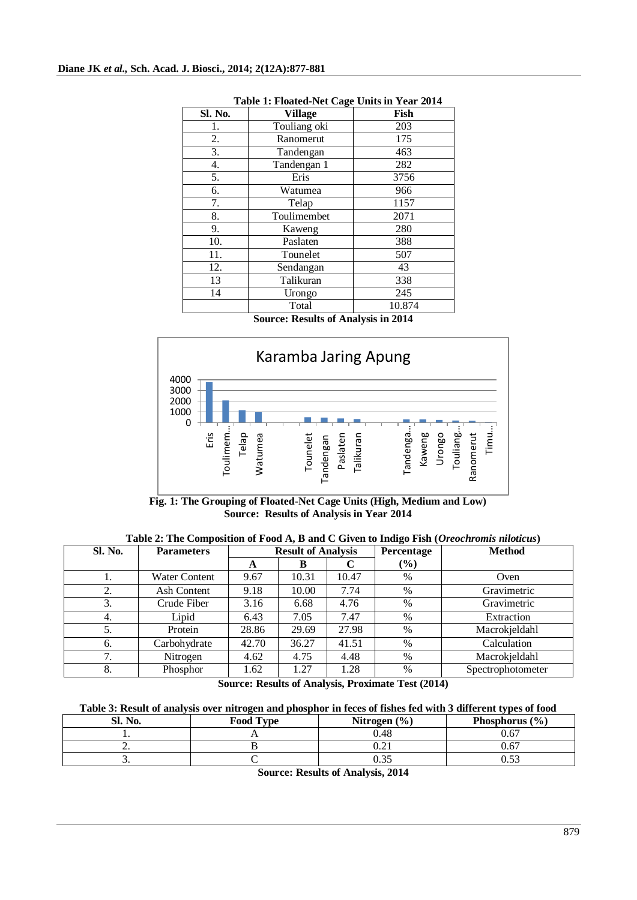| Sl. No. | -<br><b>Village</b> | Fish   |
|---------|---------------------|--------|
| 1.      | Touliang oki        | 203    |
| 2.      | Ranomerut           | 175    |
| 3.      | Tandengan           | 463    |
| 4.      | Tandengan 1         | 282    |
| 5.      | Eris                | 3756   |
| 6.      | Watumea             | 966    |
| 7.      | Telap               | 1157   |
| 8.      | Toulimembet         | 2071   |
| 9.      | Kaweng              | 280    |
| 10.     | Paslaten            | 388    |
| 11.     | Tounelet            | 507    |
| 12.     | Sendangan           | 43     |
| 13      | Talikuran           | 338    |
| 14      | Urongo              | 245    |
|         | Total               | 10.874 |

## **Table 1: Floated-Net Cage Units in Year 2014**

**Source: Results of Analysis in 2014**



**Fig. 1: The Grouping of Floated-Net Cage Units (High, Medium and Low) Source: Results of Analysis in Year 2014**

| <b>Sl. No.</b>      | <b>Parameters</b>    | <b>Result of Analysis</b> |       | Percentage | <b>Method</b> |                   |
|---------------------|----------------------|---------------------------|-------|------------|---------------|-------------------|
|                     |                      | A                         | B     |            | $(\%)$        |                   |
| 1.                  | <b>Water Content</b> | 9.67                      | 10.31 | 10.47      | $\%$          | Oven              |
| 2.                  | Ash Content          | 9.18                      | 10.00 | 7.74       | $\%$          | Gravimetric       |
| 3.                  | Crude Fiber          | 3.16                      | 6.68  | 4.76       | %             | Gravimetric       |
| 4.                  | Lipid                | 6.43                      | 7.05  | 7.47       | $\%$          | Extraction        |
| 5.                  | Protein              | 28.86                     | 29.69 | 27.98      | %             | Macrokjeldahl     |
| 6.                  | Carbohydrate         | 42.70                     | 36.27 | 41.51      | %             | Calculation       |
| $\mathcal{L}$<br>., | Nitrogen             | 4.62                      | 4.75  | 4.48       | $\%$          | Macrokjeldahl     |
| 8.                  | Phosphor             | 1.62                      | 1.27  | 1.28       | %             | Spectrophotometer |

**Table 2: The Composition of Food A, B and C Given to Indigo Fish (***Oreochromis niloticus***)** 

**Source: Results of Analysis, Proximate Test (2014)**

| Table 3: Result of analysis over nitrogen and phosphor in feces of fishes fed with 3 different types of food |
|--------------------------------------------------------------------------------------------------------------|
|--------------------------------------------------------------------------------------------------------------|

| Sl. No.  | <b>Food Type</b> | Nitrogen $(\% )$ | Phosphorus $(\% )$ |
|----------|------------------|------------------|--------------------|
| . .      |                  | 0.48             | 0.67               |
| <u>.</u> |                  | ∪.∠⊥             | 0.67               |
| <u>.</u> |                  | ∪.JJ             | ບ.ບ.               |

**Source: Results of Analysis, 2014**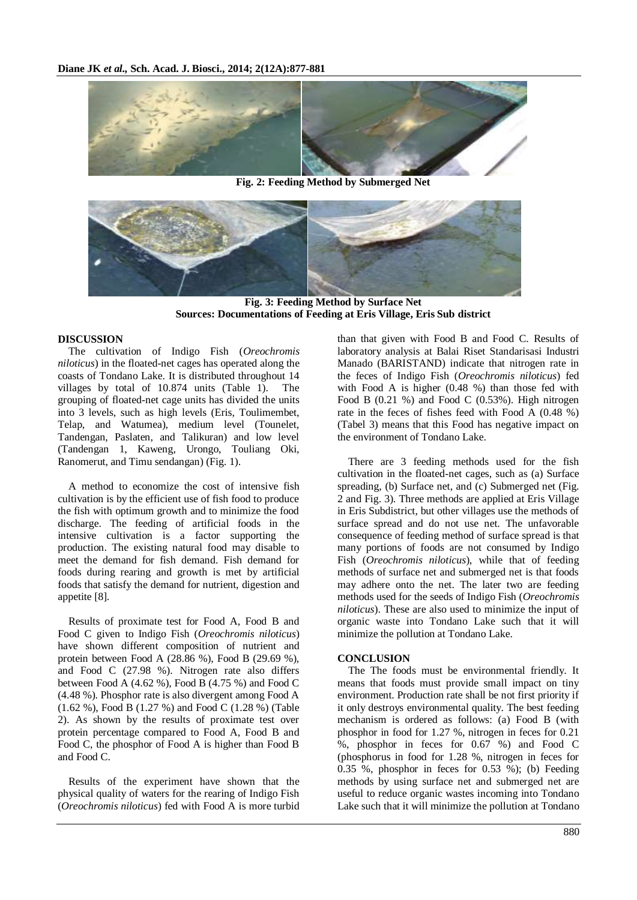

**Fig. 2: Feeding Method by Submerged Net**



**Fig. 3: Feeding Method by Surface Net Sources: Documentations of Feeding at Eris Village, Eris Sub district**

## **DISCUSSION**

The cultivation of Indigo Fish (*Oreochromis niloticus*) in the floated-net cages has operated along the coasts of Tondano Lake. It is distributed throughout 14 villages by total of 10.874 units (Table 1). The grouping of floated-net cage units has divided the units into 3 levels, such as high levels (Eris, Toulimembet, Telap, and Watumea), medium level (Tounelet, Tandengan, Paslaten, and Talikuran) and low level (Tandengan 1, Kaweng, Urongo, Touliang Oki, Ranomerut, and Timu sendangan) (Fig. 1).

A method to economize the cost of intensive fish cultivation is by the efficient use of fish food to produce the fish with optimum growth and to minimize the food discharge. The feeding of artificial foods in the intensive cultivation is a factor supporting the production. The existing natural food may disable to meet the demand for fish demand. Fish demand for foods during rearing and growth is met by artificial foods that satisfy the demand for nutrient, digestion and appetite [8].

Results of proximate test for Food A, Food B and Food C given to Indigo Fish (*Oreochromis niloticus*) have shown different composition of nutrient and protein between Food A (28.86 %), Food B (29.69 %), and Food C (27.98 %). Nitrogen rate also differs between Food A (4.62 %), Food B (4.75 %) and Food C (4.48 %). Phosphor rate is also divergent among Food A (1.62 %), Food B (1.27 %) and Food C (1.28 %) (Table 2). As shown by the results of proximate test over protein percentage compared to Food A, Food B and Food C, the phosphor of Food A is higher than Food B and Food C.

Results of the experiment have shown that the physical quality of waters for the rearing of Indigo Fish (*Oreochromis niloticus*) fed with Food A is more turbid

than that given with Food B and Food C. Results of laboratory analysis at Balai Riset Standarisasi Industri Manado (BARISTAND) indicate that nitrogen rate in the feces of Indigo Fish (*Oreochromis niloticus*) fed with Food A is higher (0.48 %) than those fed with Food B (0.21 %) and Food C (0.53%). High nitrogen rate in the feces of fishes feed with Food A (0.48 %) (Tabel 3) means that this Food has negative impact on the environment of Tondano Lake.

There are 3 feeding methods used for the fish cultivation in the floated-net cages, such as (a) Surface spreading, (b) Surface net, and (c) Submerged net (Fig. 2 and Fig. 3). Three methods are applied at Eris Village in Eris Subdistrict, but other villages use the methods of surface spread and do not use net. The unfavorable consequence of feeding method of surface spread is that many portions of foods are not consumed by Indigo Fish (*Oreochromis niloticus*), while that of feeding methods of surface net and submerged net is that foods may adhere onto the net. The later two are feeding methods used for the seeds of Indigo Fish (*Oreochromis niloticus*). These are also used to minimize the input of organic waste into Tondano Lake such that it will minimize the pollution at Tondano Lake.

#### **CONCLUSION**

The The foods must be environmental friendly. It means that foods must provide small impact on tiny environment. Production rate shall be not first priority if it only destroys environmental quality. The best feeding mechanism is ordered as follows: (a) Food B (with phosphor in food for 1.27 %, nitrogen in feces for 0.21 %, phosphor in feces for 0.67 %) and Food C (phosphorus in food for 1.28 %, nitrogen in feces for  $0.35\%$ , phosphor in feces for  $0.53\%$ ); (b) Feeding methods by using surface net and submerged net are useful to reduce organic wastes incoming into Tondano Lake such that it will minimize the pollution at Tondano